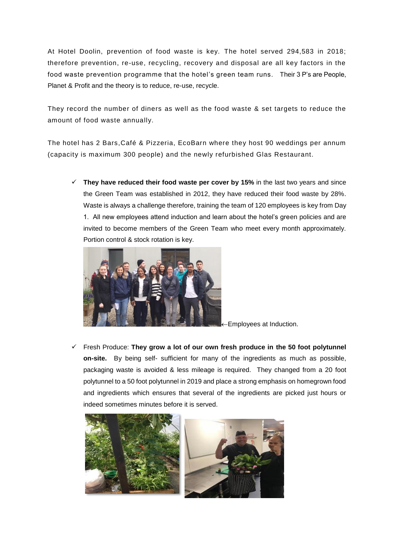At Hotel Doolin, prevention of food waste is key. The hotel served 294,583 in 2018; therefore prevention, re-use, recycling, recovery and disposal are all key factors in the food waste prevention programme that the hotel's green team runs. Their 3 P's are People, Planet & Profit and the theory is to reduce, re-use, recycle.

They record the number of diners as well as the food waste & set targets to reduce the amount of food waste annually.

The hotel has 2 Bars,Café & Pizzeria, EcoBarn where they host 90 weddings per annum (capacity is maximum 300 people) and the newly refurbished Glas Restaurant.

 **They have reduced their food waste per cover by 15%** in the last two years and since the Green Team was established in 2012, they have reduced their food waste by 28%. Waste is always a challenge therefore, training the team of 120 employees is key from Day 1. All new employees attend induction and learn about the hotel's green policies and are invited to become members of the Green Team who meet every month approximately. Portion control & stock rotation is key.



Employees at Induction.

 Fresh Produce: **They grow a lot of our own fresh produce in the 50 foot polytunnel on-site.** By being self- sufficient for many of the ingredients as much as possible, packaging waste is avoided & less mileage is required. They changed from a 20 foot polytunnel to a 50 foot polytunnel in 2019 and place a strong emphasis on homegrown food and ingredients which ensures that several of the ingredients are picked just hours or indeed sometimes minutes before it is served.

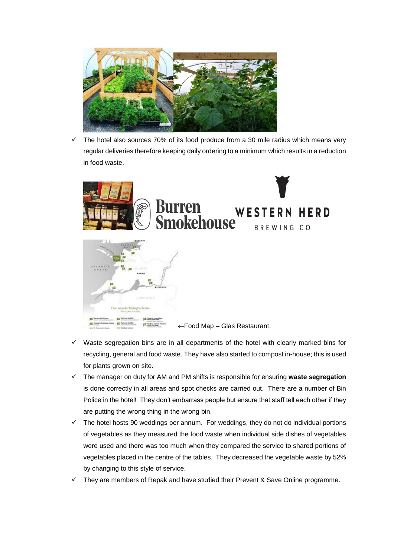

 The hotel also sources 70% of its food produce from a 30 mile radius which means very regular deliveries therefore keeping daily ordering to a minimum which results in a reduction in food waste.



- $\checkmark$  Waste segregation bins are in all departments of the hotel with clearly marked bins for recycling, general and food waste. They have also started to compost in-house; this is used for plants grown on site.
- The manager on duty for AM and PM shifts is responsible for ensuring **waste segregation** is done correctly in all areas and spot checks are carried out. There are a number of Bin Police in the hotel! They don't embarrass people but ensure that staff tell each other if they are putting the wrong thing in the wrong bin.
- $\checkmark$  The hotel hosts 90 weddings per annum. For weddings, they do not do individual portions of vegetables as they measured the food waste when individual side dishes of vegetables were used and there was too much when they compared the service to shared portions of vegetables placed in the centre of the tables. They decreased the vegetable waste by 52% by changing to this style of service.
- They are members of Repak and have studied their Prevent & Save Online programme.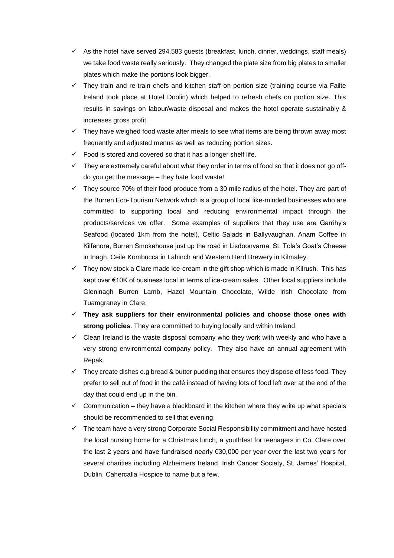- $\checkmark$  As the hotel have served 294,583 guests (breakfast, lunch, dinner, weddings, staff meals) we take food waste really seriously. They changed the plate size from big plates to smaller plates which make the portions look bigger.
- $\checkmark$  They train and re-train chefs and kitchen staff on portion size (training course via Failte Ireland took place at Hotel Doolin) which helped to refresh chefs on portion size. This results in savings on labour/waste disposal and makes the hotel operate sustainably & increases gross profit.
- $\checkmark$  They have weighed food waste after meals to see what items are being thrown away most frequently and adjusted menus as well as reducing portion sizes.
- Food is stored and covered so that it has a longer shelf life.
- They are extremely careful about what they order in terms of food so that it does not go offdo you get the message – they hate food waste!
- $\checkmark$  They source 70% of their food produce from a 30 mile radius of the hotel. They are part of the Burren Eco-Tourism Network which is a group of local like-minded businesses who are committed to supporting local and reducing environmental impact through the products/services we offer. Some examples of suppliers that they use are Garrihy's Seafood (located 1km from the hotel), Celtic Salads in Ballyvaughan, Anam Coffee in Kilfenora, Burren Smokehouse just up the road in Lisdoonvarna, St. Tola's Goat's Cheese in Inagh, Ceile Kombucca in Lahinch and Western Herd Brewery in Kilmaley.
- $\checkmark$  They now stock a Clare made Ice-cream in the gift shop which is made in Kilrush. This has kept over €10K of business local in terms of ice-cream sales. Other local suppliers include Gleninagh Burren Lamb, Hazel Mountain Chocolate, Wilde Irish Chocolate from Tuamgraney in Clare.
- **They ask suppliers for their environmental policies and choose those ones with strong policies**. They are committed to buying locally and within Ireland.
- $\checkmark$  Clean Ireland is the waste disposal company who they work with weekly and who have a very strong environmental company policy. They also have an annual agreement with Repak.
- They create dishes e.g bread & butter pudding that ensures they dispose of less food. They prefer to sell out of food in the café instead of having lots of food left over at the end of the day that could end up in the bin.
- $\checkmark$  Communication they have a blackboard in the kitchen where they write up what specials should be recommended to sell that evening.
- $\checkmark$  The team have a very strong Corporate Social Responsibility commitment and have hosted the local nursing home for a Christmas lunch, a youthfest for teenagers in Co. Clare over the last 2 years and have fundraised nearly €30,000 per year over the last two years for several charities including Alzheimers Ireland, Irish Cancer Society, St. James' Hospital, Dublin, Cahercalla Hospice to name but a few.